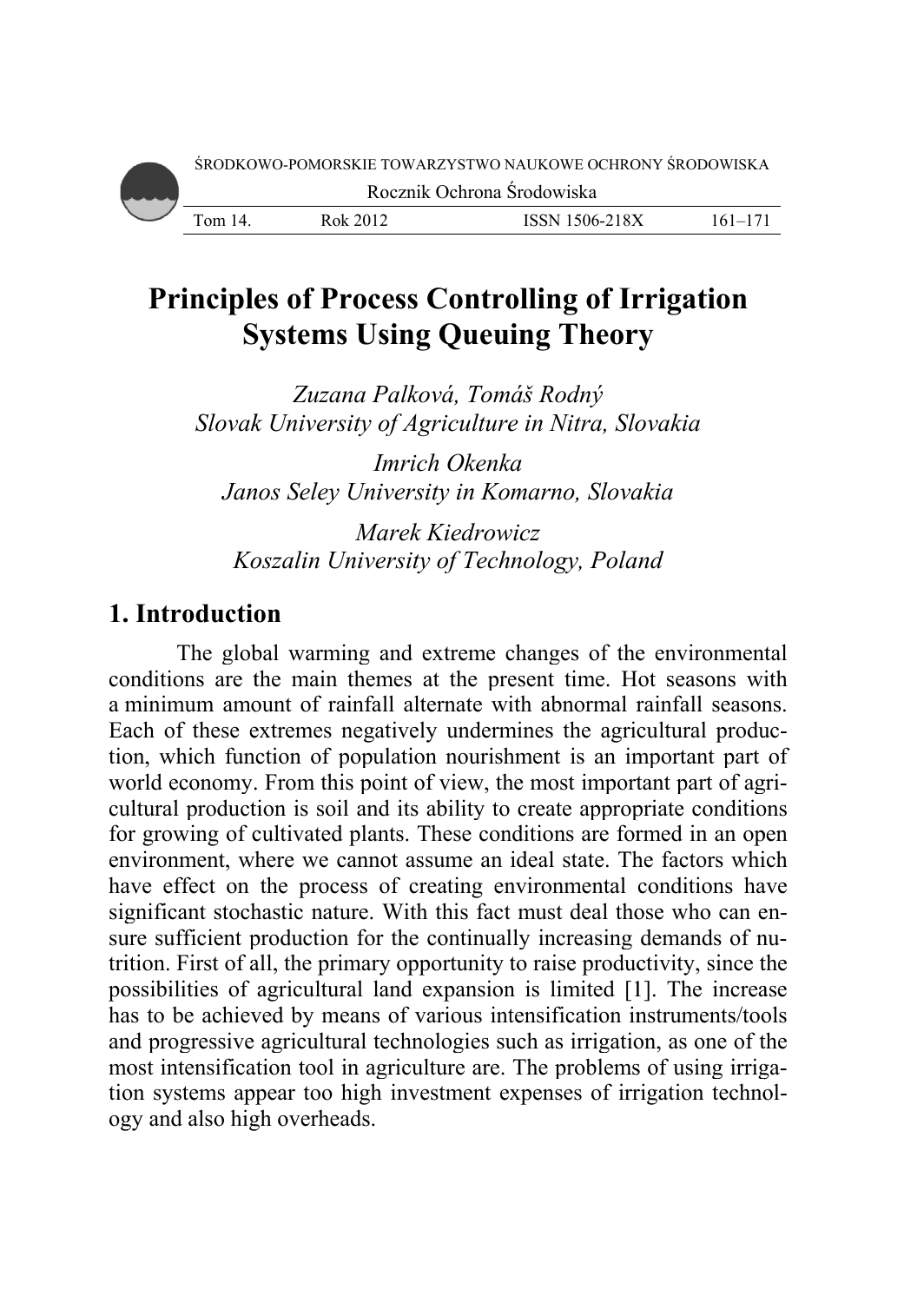# **Principles of Process Controlling of Irrigation Systems Using Queuing Theory**

*Slovak University of Agriculture in Nitra, Slovakia Zuzana P Palková, Tom máš Rodný*

*Janos Seley University in Komarno, Slovakia Im Imrich Okenk ka* 

Koszalin University of Technology, Poland *Ma arek Kiedrow wicz* 

## 1. Introduction

conditions are the main themes at the present time. Hot seasons with a minimum amount of rainfall alternate with abnormal rainfall seasons. Each of these extremes negatively undermines the agricultural production, which function of population nourishment is an important part of world economy. From this point of view, the most important part of agricultural production is soil and its ability to create appropriate conditions for growing of cultivated plants. These conditions are formed in an open environment, where we cannot assume an ideal state. The factors which have effect on the process of creating environmental conditions have significant stochastic nature. With this fact must deal those who can ensure sufficient production for the continually increasing demands of nutrition. First of all, the primary opportunity to raise productivity, since the possibilities of agricultural land expansion is limited [1]. The increase has to be achieved by means of various intensification instruments/tools and progressive agricultural technologies such as irrigation, as one of the most intensification tool in agriculture are. The problems of using irrigation systems appear too high investment expenses of irrigation technology and also high overheads. The global warming and extreme changes of the environment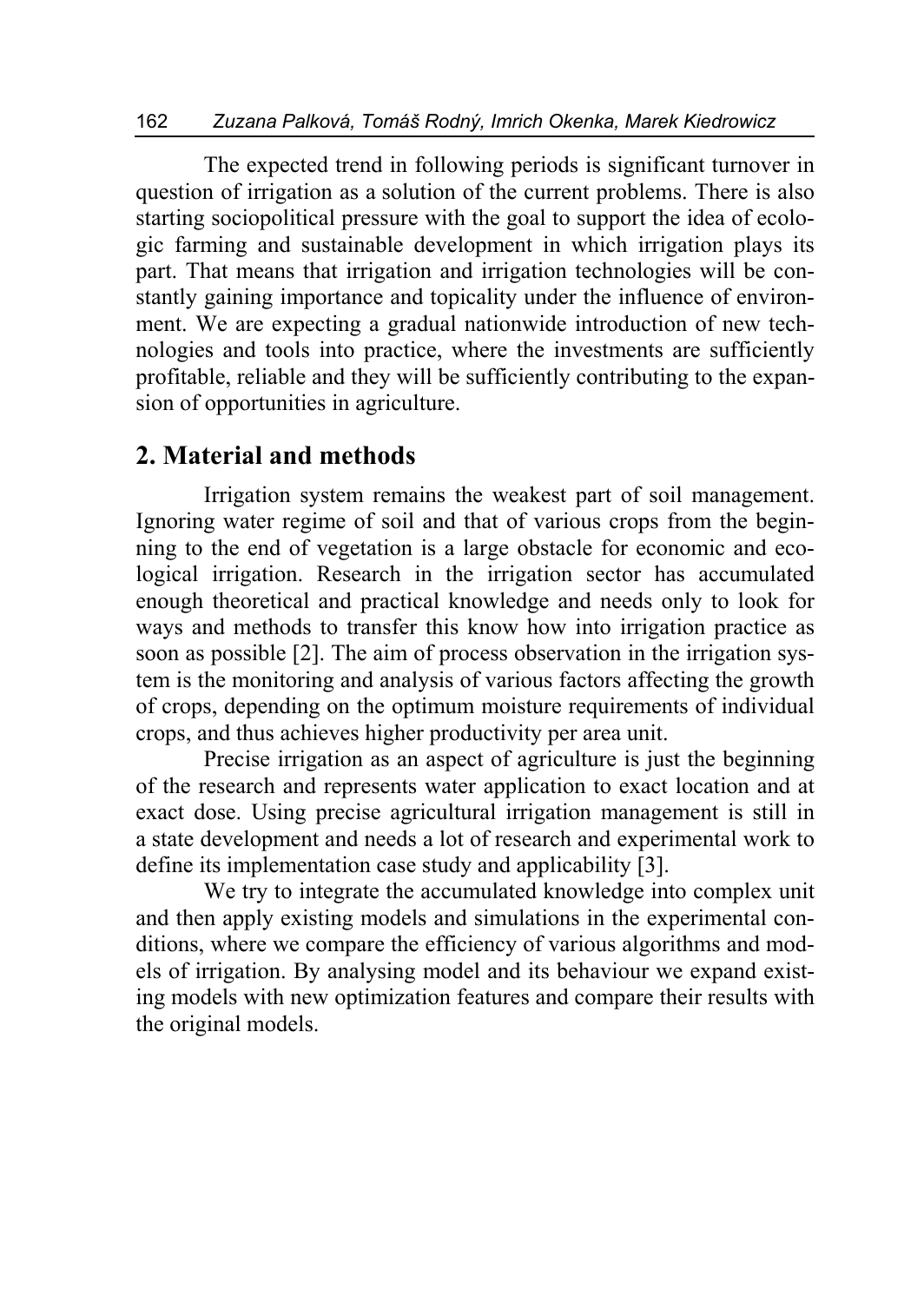The expected trend in following periods is significant turnover in question of irrigation as a solution of the current problems. There is also starting sociopolitical pressure with the goal to support the idea of ecologic farming and sustainable development in which irrigation plays its part. That means that irrigation and irrigation technologies will be constantly gaining importance and topicality under the influence of environment. We are expecting a gradual nationwide introduction of new technologies and tools into practice, where the investments are sufficiently profitable, reliable and they will be sufficiently contributing to the expansion of opportunities in agriculture.

### **2. Material and methods**

Irrigation system remains the weakest part of soil management. Ignoring water regime of soil and that of various crops from the beginning to the end of vegetation is a large obstacle for economic and ecological irrigation. Research in the irrigation sector has accumulated enough theoretical and practical knowledge and needs only to look for ways and methods to transfer this know how into irrigation practice as soon as possible [2]. The aim of process observation in the irrigation system is the monitoring and analysis of various factors affecting the growth of crops, depending on the optimum moisture requirements of individual crops, and thus achieves higher productivity per area unit.

Precise irrigation as an aspect of agriculture is just the beginning of the research and represents water application to exact location and at exact dose. Using precise agricultural irrigation management is still in a state development and needs a lot of research and experimental work to define its implementation case study and applicability [3].

We try to integrate the accumulated knowledge into complex unit and then apply existing models and simulations in the experimental conditions, where we compare the efficiency of various algorithms and models of irrigation. By analysing model and its behaviour we expand existing models with new optimization features and compare their results with the original models.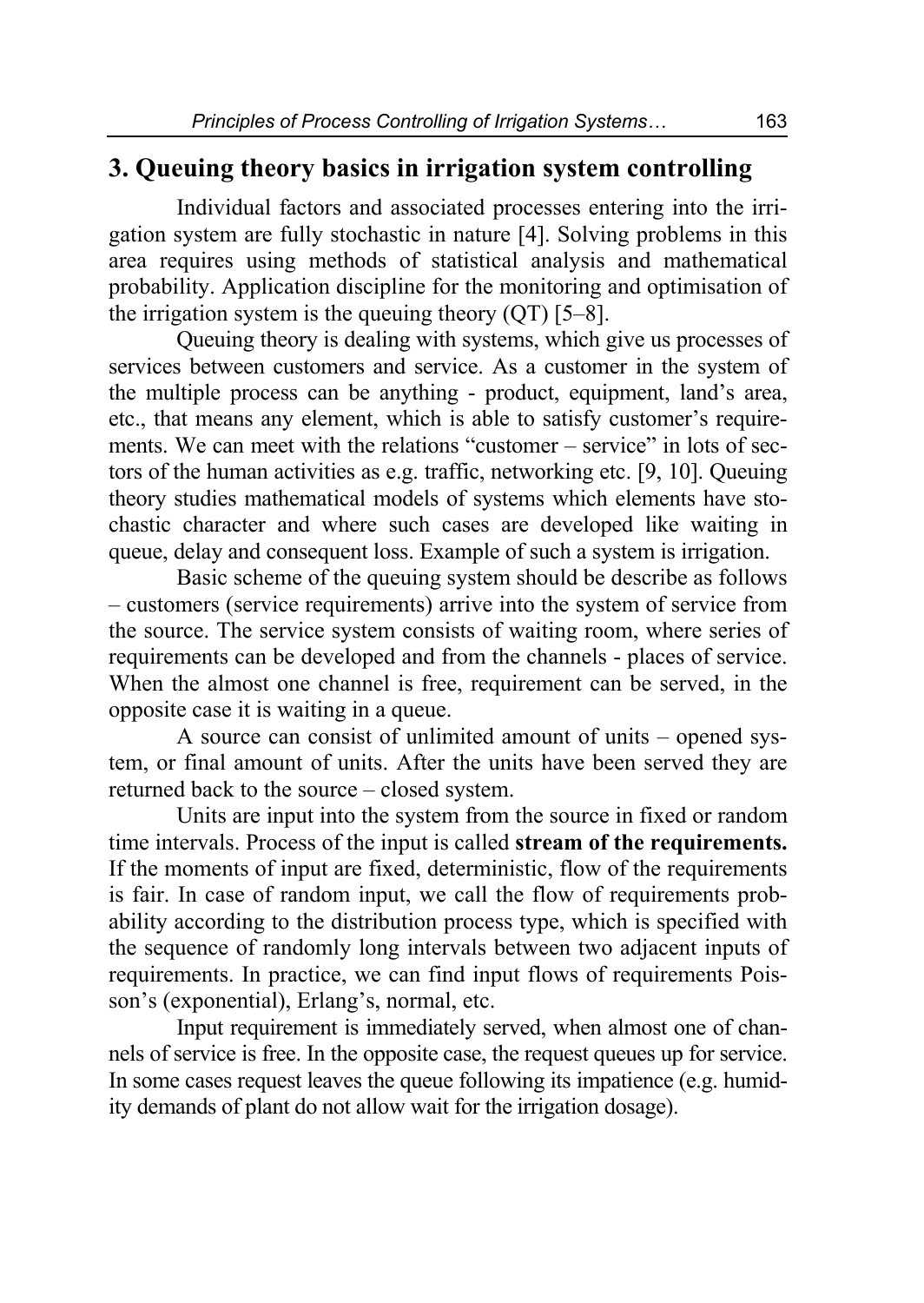## **3. Queuing theory basics in irrigation system controlling**

Individual factors and associated processes entering into the irrigation system are fully stochastic in nature [4]. Solving problems in this area requires using methods of statistical analysis and mathematical probability. Application discipline for the monitoring and optimisation of the irrigation system is the queuing theory  $(QT)$  [5–8].

Queuing theory is dealing with systems, which give us processes of services between customers and service. As a customer in the system of the multiple process can be anything - product, equipment, land's area, etc., that means any element, which is able to satisfy customer's requirements. We can meet with the relations "customer – service" in lots of sectors of the human activities as e.g. traffic, networking etc. [9, 10]. Queuing theory studies mathematical models of systems which elements have stochastic character and where such cases are developed like waiting in queue, delay and consequent loss. Example of such a system is irrigation.

Basic scheme of the queuing system should be describe as follows – customers (service requirements) arrive into the system of service from the source. The service system consists of waiting room, where series of requirements can be developed and from the channels - places of service. When the almost one channel is free, requirement can be served, in the opposite case it is waiting in a queue.

A source can consist of unlimited amount of units – opened system, or final amount of units. After the units have been served they are returned back to the source – closed system.

Units are input into the system from the source in fixed or random time intervals. Process of the input is called **stream of the requirements.** If the moments of input are fixed, deterministic, flow of the requirements is fair. In case of random input, we call the flow of requirements probability according to the distribution process type, which is specified with the sequence of randomly long intervals between two adjacent inputs of requirements. In practice, we can find input flows of requirements Poisson's (exponential), Erlang's, normal, etc.

Input requirement is immediately served, when almost one of channels of service is free. In the opposite case, the request queues up for service. In some cases request leaves the queue following its impatience (e.g. humidity demands of plant do not allow wait for the irrigation dosage).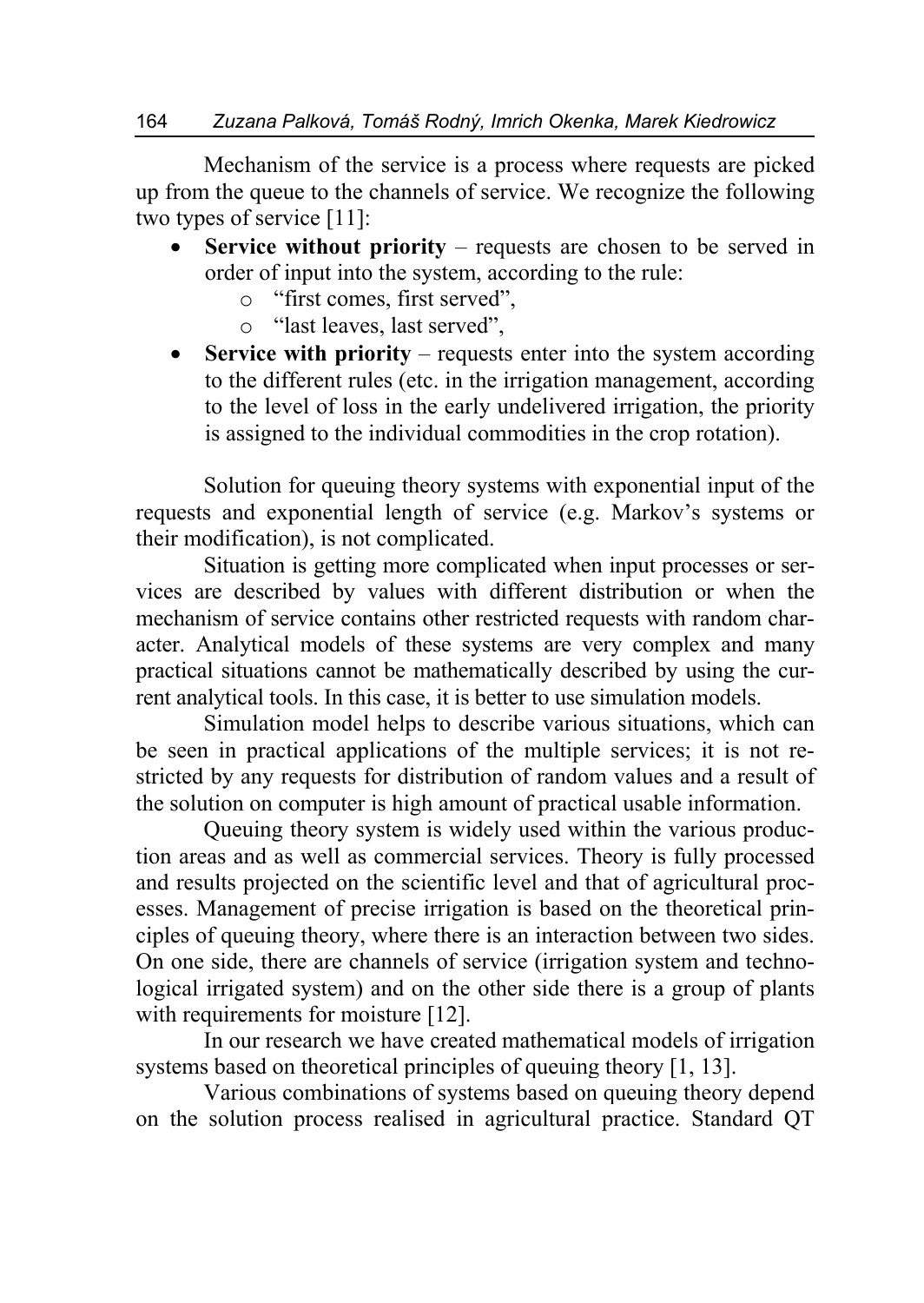Mechanism of the service is a process where requests are picked up from the queue to the channels of service. We recognize the following two types of service [11]:

- **Service without priority** requests are chosen to be served in order of input into the system, according to the rule:
	- o "first comes, first served",
	- o "last leaves, last served",
- **Service with priority** requests enter into the system according to the different rules (etc. in the irrigation management, according to the level of loss in the early undelivered irrigation, the priority is assigned to the individual commodities in the crop rotation).

Solution for queuing theory systems with exponential input of the requests and exponential length of service (e.g. Markov's systems or their modification), is not complicated.

Situation is getting more complicated when input processes or services are described by values with different distribution or when the mechanism of service contains other restricted requests with random character. Analytical models of these systems are very complex and many practical situations cannot be mathematically described by using the current analytical tools. In this case, it is better to use simulation models.

Simulation model helps to describe various situations, which can be seen in practical applications of the multiple services; it is not restricted by any requests for distribution of random values and a result of the solution on computer is high amount of practical usable information.

Queuing theory system is widely used within the various production areas and as well as commercial services. Theory is fully processed and results projected on the scientific level and that of agricultural processes. Management of precise irrigation is based on the theoretical principles of queuing theory, where there is an interaction between two sides. On one side, there are channels of service (irrigation system and technological irrigated system) and on the other side there is a group of plants with requirements for moisture [12].

In our research we have created mathematical models of irrigation systems based on theoretical principles of queuing theory [1, 13].

Various combinations of systems based on queuing theory depend on the solution process realised in agricultural practice. Standard QT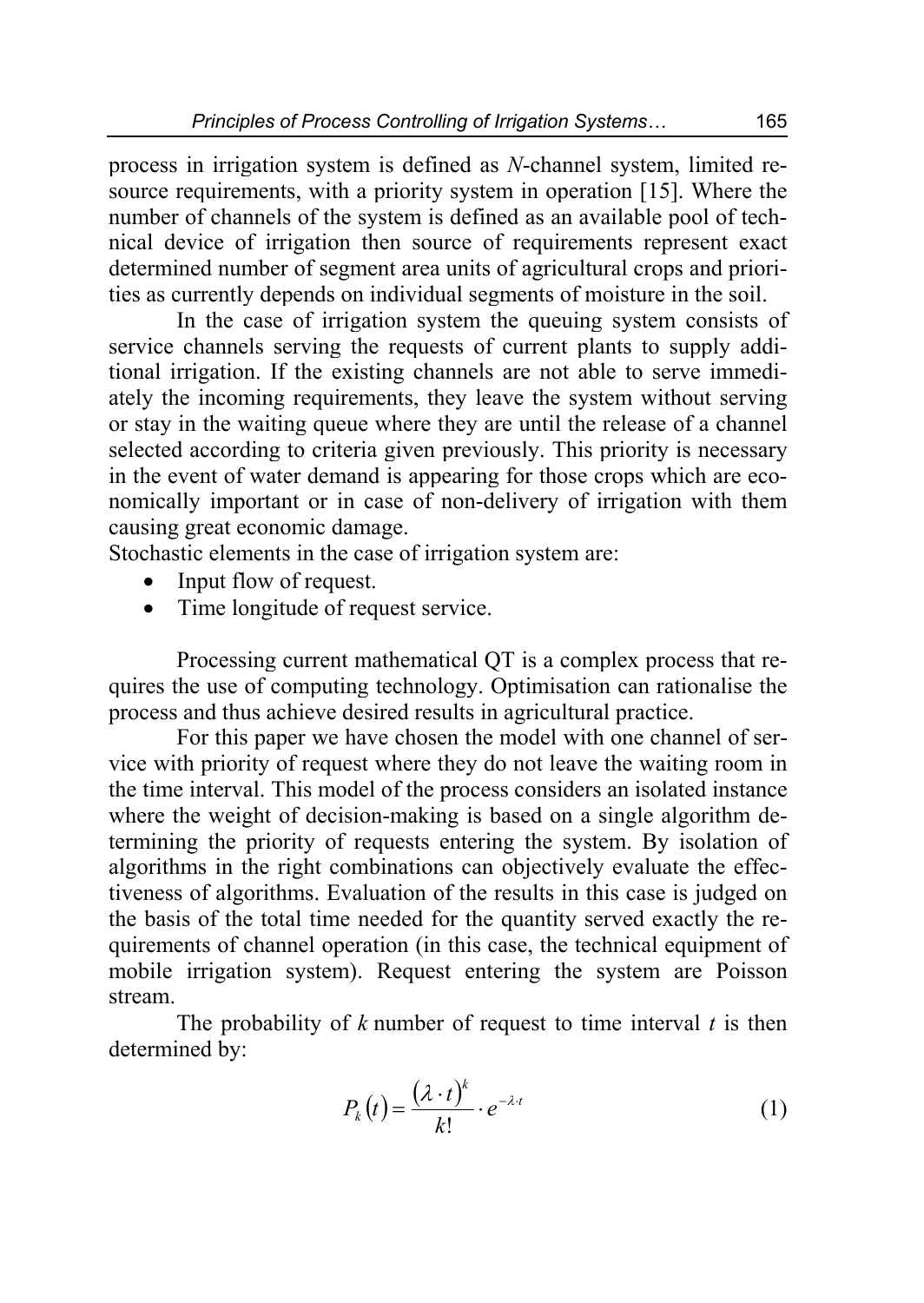process in irrigation system is defined as *N*-channel system, limited resource requirements, with a priority system in operation [15]. Where the number of channels of the system is defined as an available pool of technical device of irrigation then source of requirements represent exact determined number of segment area units of agricultural crops and priorities as currently depends on individual segments of moisture in the soil.

In the case of irrigation system the queuing system consists of service channels serving the requests of current plants to supply additional irrigation. If the existing channels are not able to serve immediately the incoming requirements, they leave the system without serving or stay in the waiting queue where they are until the release of a channel selected according to criteria given previously. This priority is necessary in the event of water demand is appearing for those crops which are economically important or in case of non-delivery of irrigation with them causing great economic damage.

Stochastic elements in the case of irrigation system are:

- Input flow of request.
- Time longitude of request service.

Processing current mathematical QT is a complex process that requires the use of computing technology. Optimisation can rationalise the process and thus achieve desired results in agricultural practice.

For this paper we have chosen the model with one channel of service with priority of request where they do not leave the waiting room in the time interval. This model of the process considers an isolated instance where the weight of decision-making is based on a single algorithm determining the priority of requests entering the system. By isolation of algorithms in the right combinations can objectively evaluate the effectiveness of algorithms. Evaluation of the results in this case is judged on the basis of the total time needed for the quantity served exactly the requirements of channel operation (in this case, the technical equipment of mobile irrigation system). Request entering the system are Poisson stream.

The probability of *k* number of request to time interval *t* is then determined by:

$$
P_k(t) = \frac{(\lambda \cdot t)^k}{k!} \cdot e^{-\lambda \cdot t} \tag{1}
$$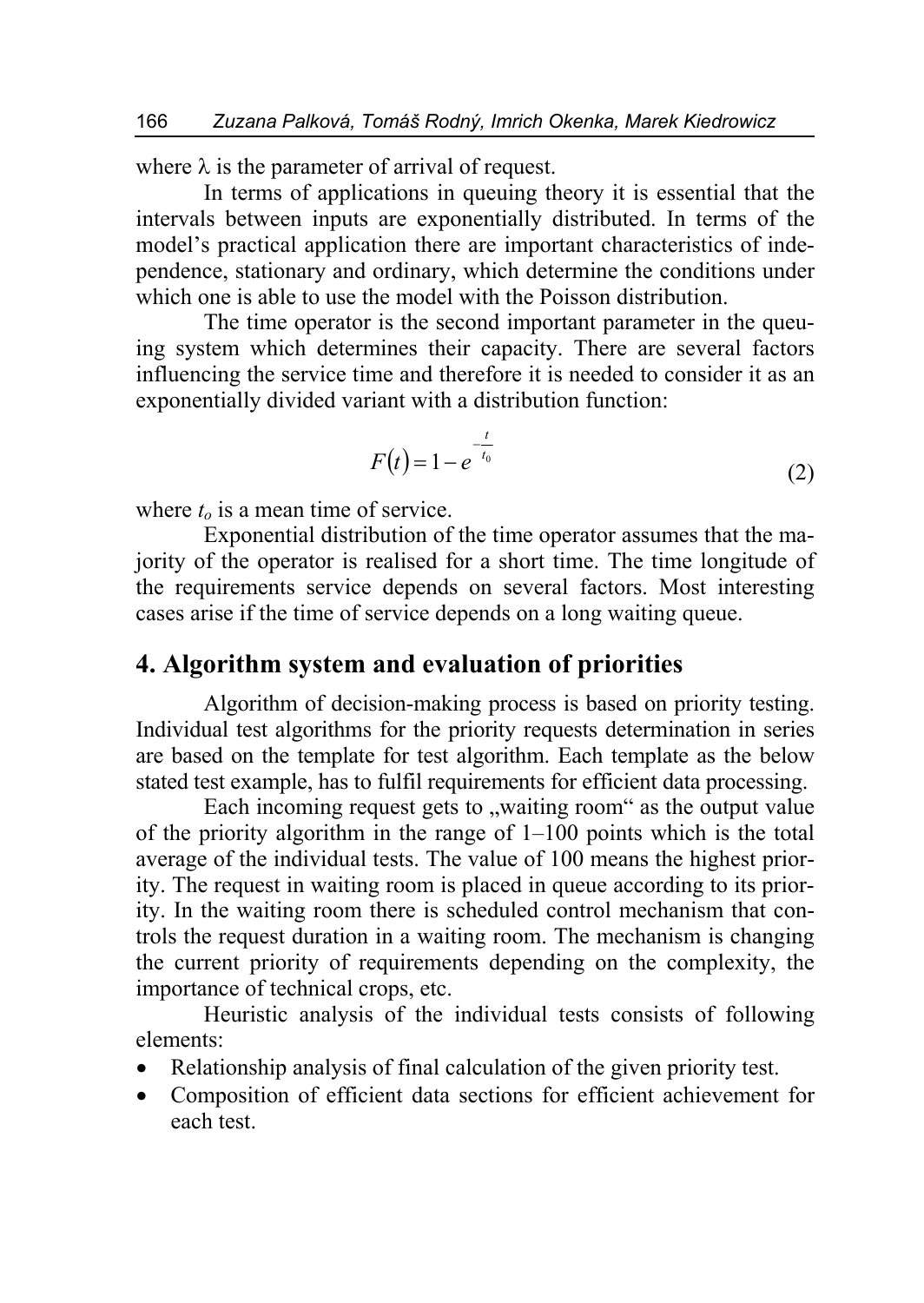where  $\lambda$  is the parameter of arrival of request.

In terms of applications in queuing theory it is essential that the intervals between inputs are exponentially distributed. In terms of the model's practical application there are important characteristics of independence, stationary and ordinary, which determine the conditions under which one is able to use the model with the Poisson distribution.

The time operator is the second important parameter in the queuing system which determines their capacity. There are several factors influencing the service time and therefore it is needed to consider it as an exponentially divided variant with a distribution function:

$$
F(t) = 1 - e^{-\frac{t}{t_0}}
$$
 (2)

where  $t_0$  is a mean time of service.

Exponential distribution of the time operator assumes that the majority of the operator is realised for a short time. The time longitude of the requirements service depends on several factors. Most interesting cases arise if the time of service depends on a long waiting queue.

#### **4. Algorithm system and evaluation of priorities**

Algorithm of decision-making process is based on priority testing. Individual test algorithms for the priority requests determination in series are based on the template for test algorithm. Each template as the below stated test example, has to fulfil requirements for efficient data processing.

Each incoming request gets to "waiting room" as the output value of the priority algorithm in the range of 1–100 points which is the total average of the individual tests. The value of 100 means the highest priority. The request in waiting room is placed in queue according to its priority. In the waiting room there is scheduled control mechanism that controls the request duration in a waiting room. The mechanism is changing the current priority of requirements depending on the complexity, the importance of technical crops, etc.

Heuristic analysis of the individual tests consists of following elements:

- Relationship analysis of final calculation of the given priority test.
- Composition of efficient data sections for efficient achievement for each test.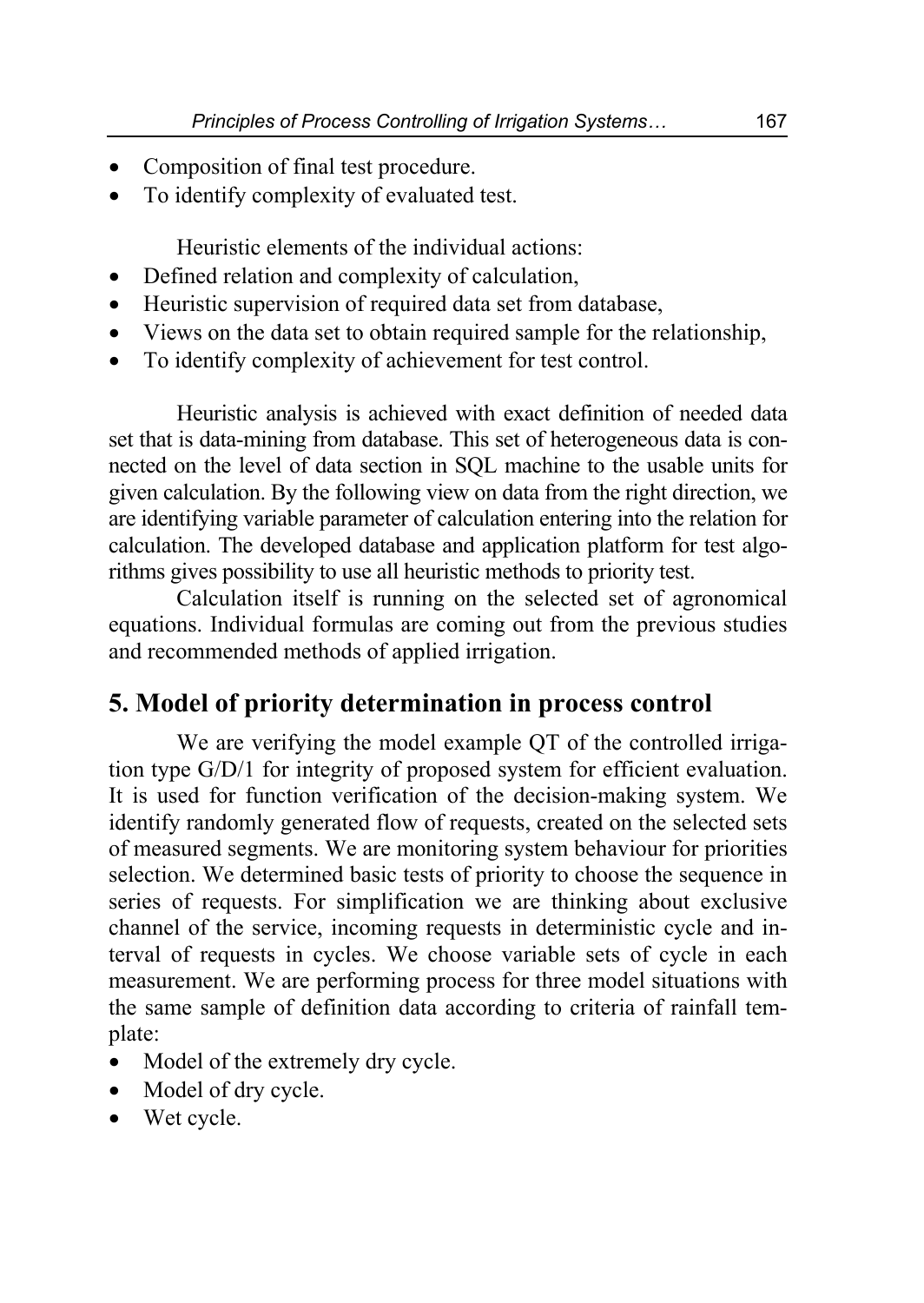- Composition of final test procedure.
- To identify complexity of evaluated test.

Heuristic elements of the individual actions:

- Defined relation and complexity of calculation,
- Heuristic supervision of required data set from database,
- Views on the data set to obtain required sample for the relationship,
- To identify complexity of achievement for test control.

Heuristic analysis is achieved with exact definition of needed data set that is data-mining from database. This set of heterogeneous data is connected on the level of data section in SQL machine to the usable units for given calculation. By the following view on data from the right direction, we are identifying variable parameter of calculation entering into the relation for calculation. The developed database and application platform for test algorithms gives possibility to use all heuristic methods to priority test.

Calculation itself is running on the selected set of agronomical equations. Individual formulas are coming out from the previous studies and recommended methods of applied irrigation.

#### **5. Model of priority determination in process control**

We are verifying the model example OT of the controlled irrigation type G/D/1 for integrity of proposed system for efficient evaluation. It is used for function verification of the decision-making system. We identify randomly generated flow of requests, created on the selected sets of measured segments. We are monitoring system behaviour for priorities selection. We determined basic tests of priority to choose the sequence in series of requests. For simplification we are thinking about exclusive channel of the service, incoming requests in deterministic cycle and interval of requests in cycles. We choose variable sets of cycle in each measurement. We are performing process for three model situations with the same sample of definition data according to criteria of rainfall template:

- Model of the extremely dry cycle.
- Model of dry cycle.
- Wet cycle.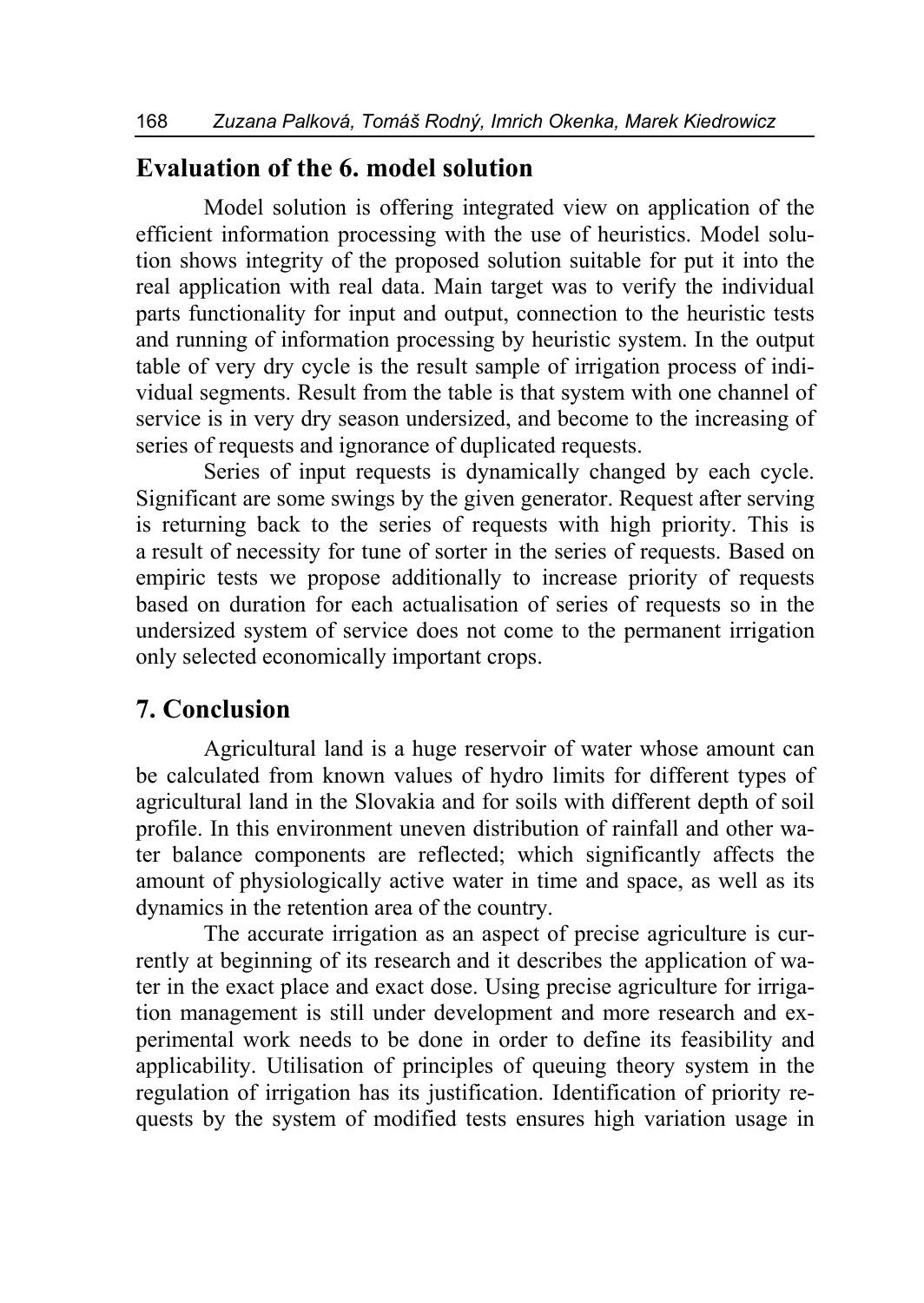### **Evaluation of the 6. model solution**

Model solution is offering integrated view on application of the efficient information processing with the use of heuristics. Model solution shows integrity of the proposed solution suitable for put it into the real application with real data. Main target was to verify the individual parts functionality for input and output, connection to the heuristic tests and running of information processing by heuristic system. In the output table of very dry cycle is the result sample of irrigation process of individual segments. Result from the table is that system with one channel of service is in very dry season undersized, and become to the increasing of series of requests and ignorance of duplicated requests.

Series of input requests is dynamically changed by each cycle. Significant are some swings by the given generator. Request after serving is returning back to the series of requests with high priority. This is a result of necessity for tune of sorter in the series of requests. Based on empiric tests we propose additionally to increase priority of requests based on duration for each actualisation of series of requests so in the undersized system of service does not come to the permanent irrigation only selected economically important crops.

#### **7. Conclusion**

Agricultural land is a huge reservoir of water whose amount can be calculated from known values of hydro limits for different types of agricultural land in the Slovakia and for soils with different depth of soil profile. In this environment uneven distribution of rainfall and other water balance components are reflected; which significantly affects the amount of physiologically active water in time and space, as well as its dynamics in the retention area of the country.

The accurate irrigation as an aspect of precise agriculture is currently at beginning of its research and it describes the application of water in the exact place and exact dose. Using precise agriculture for irrigation management is still under development and more research and experimental work needs to be done in order to define its feasibility and applicability. Utilisation of principles of queuing theory system in the regulation of irrigation has its justification. Identification of priority requests by the system of modified tests ensures high variation usage in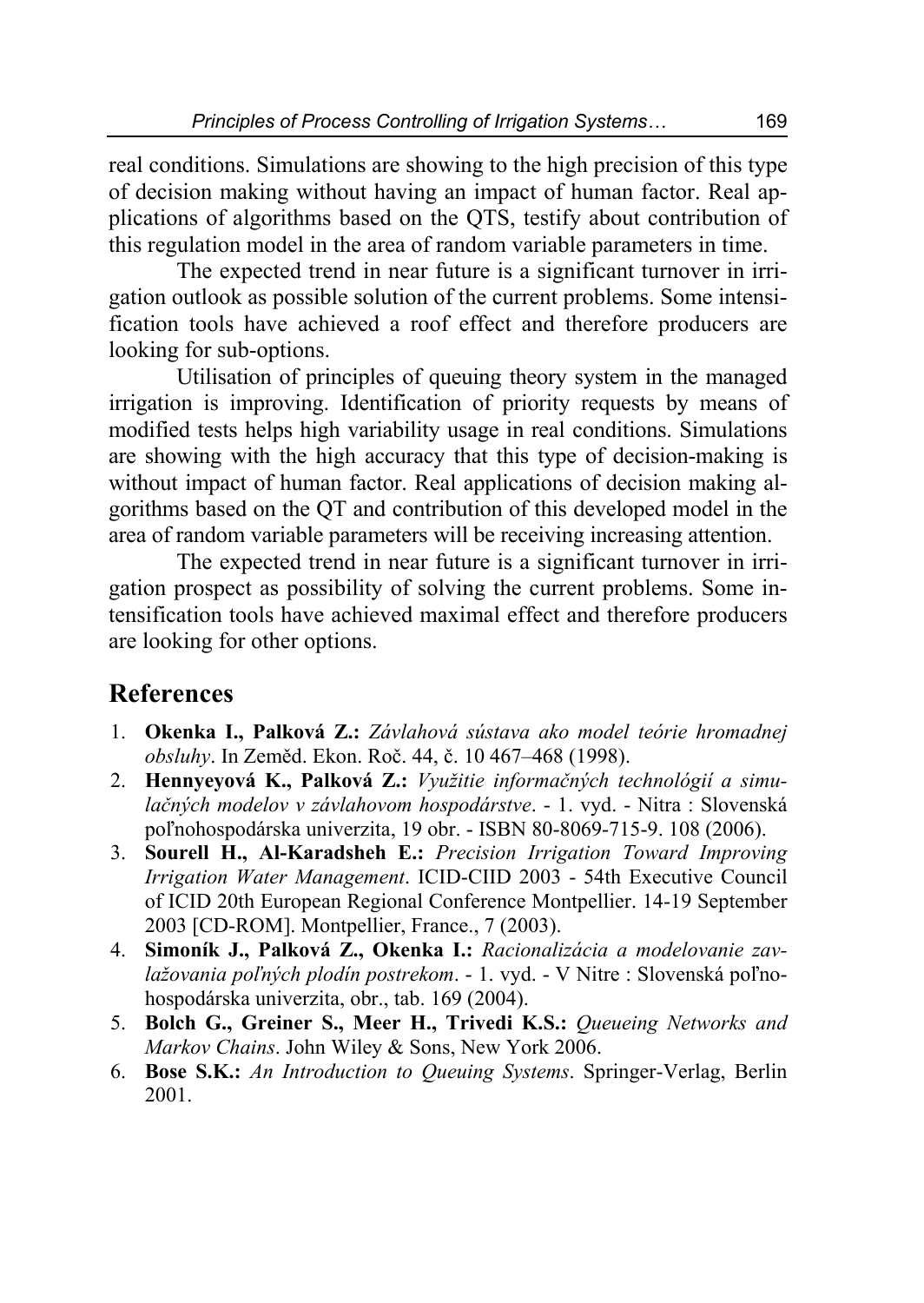real conditions. Simulations are showing to the high precision of this type of decision making without having an impact of human factor. Real applications of algorithms based on the QTS, testify about contribution of this regulation model in the area of random variable parameters in time.

The expected trend in near future is a significant turnover in irrigation outlook as possible solution of the current problems. Some intensification tools have achieved a roof effect and therefore producers are looking for sub-options.

Utilisation of principles of queuing theory system in the managed irrigation is improving. Identification of priority requests by means of modified tests helps high variability usage in real conditions. Simulations are showing with the high accuracy that this type of decision-making is without impact of human factor. Real applications of decision making algorithms based on the QT and contribution of this developed model in the area of random variable parameters will be receiving increasing attention.

The expected trend in near future is a significant turnover in irrigation prospect as possibility of solving the current problems. Some intensification tools have achieved maximal effect and therefore producers are looking for other options.

# **References**

- 1. **Okenka I., Palková Z.:** *Závlahová sústava ako model teórie hromadnej obsluhy*. In Zeměd. Ekon. Roč. 44, č. 10 467–468 (1998).
- 2. **Hennyeyová K., Palková Z.:** *Využitie informačných technológií a simulačných modelov v závlahovom hospodárstve*. - 1. vyd. - Nitra : Slovenská poľnohospodárska univerzita, 19 obr. - ISBN 80-8069-715-9. 108 (2006).
- 3. **Sourell H., Al-Karadsheh E.:** *Precision Irrigation Toward Improving Irrigation Water Management*. ICID-CIID 2003 - 54th Executive Council of ICID 20th European Regional Conference Montpellier. 14-19 September 2003 [CD-ROM]. Montpellier, France., 7 (2003).
- 4. **Simoník J., Palková Z., Okenka I.:** *Racionalizácia a modelovanie zavlažovania poľných plodín postrekom*. - 1. vyd. - V Nitre : Slovenská poľnohospodárska univerzita, obr., tab. 169 (2004).
- 5. **Bolch G., Greiner S., Meer H., Trivedi K.S.:** *Queueing Networks and Markov Chains*. John Wiley & Sons, New York 2006.
- 6. **Bose S.K.:** *An Introduction to Queuing Systems*. Springer-Verlag, Berlin 2001.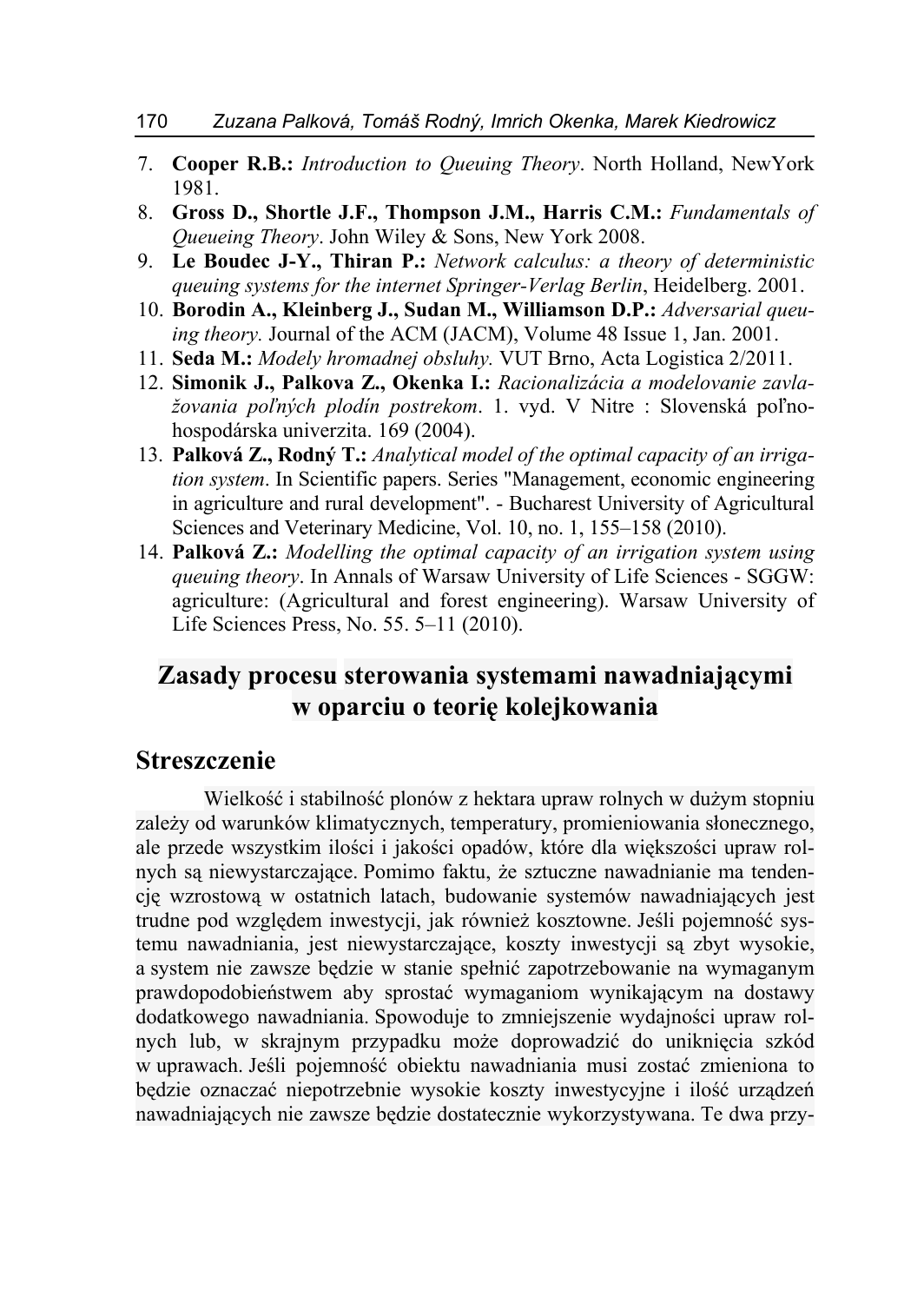- 7. **Cooper R.B.:** *Introduction to Queuing Theory*. North Holland, NewYork 1981.
- 8. **Gross D., Shortle J.F., Thompson J.M., Harris C.M.:** *Fundamentals of Queueing Theory*. John Wiley & Sons, New York 2008.
- 9. **Le Boudec J-Y., Thiran P.:** *Network calculus: a theory of deterministic queuing systems for the internet Springer-Verlag Berlin*, Heidelberg. 2001.
- 10. **Borodin A., Kleinberg J., Sudan M., Williamson D.P.:** *Adversarial queuing theory.* Journal of the ACM (JACM), Volume 48 Issue 1, Jan. 2001.
- 11. **Seda M.:** *Modely hromadnej obsluhy.* VUT Brno, Acta Logistica 2/2011.
- 12. **Simonik J., Palkova Z., Okenka I.:** *Racionalizácia a modelovanie zavlažovania poľných plodín postrekom*. 1. vyd. V Nitre : Slovenská poľnohospodárska univerzita. 169 (2004).
- 13. **Palková Z., Rodný T.:** *Analytical model of the optimal capacity of an irrigation system*. In Scientific papers. Series "Management, economic engineering in agriculture and rural development". - Bucharest University of Agricultural Sciences and Veterinary Medicine, Vol. 10, no. 1, 155–158 (2010).
- 14. **Palková Z.:** *Modelling the optimal capacity of an irrigation system using queuing theory*. In Annals of Warsaw University of Life Sciences - SGGW: agriculture: (Agricultural and forest engineering). Warsaw University of Life Sciences Press, No. 55. 5–11 (2010).

# **Zasady procesu sterowania systemami nawadniającymi w oparciu o teorię kolejkowania**

#### **Streszczenie**

Wielkość i stabilność plonów z hektara upraw rolnych w dużym stopniu zależy od warunków klimatycznych, temperatury, promieniowania słonecznego, ale przede wszystkim ilości i jakości opadów, które dla większości upraw rolnych są niewystarczające. Pomimo faktu, że sztuczne nawadnianie ma tendencję wzrostową w ostatnich latach, budowanie systemów nawadniających jest trudne pod względem inwestycji, jak również kosztowne. Jeśli pojemność systemu nawadniania, jest niewystarczające, koszty inwestycji są zbyt wysokie, a system nie zawsze będzie w stanie spełnić zapotrzebowanie na wymaganym prawdopodobieństwem aby sprostać wymaganiom wynikającym na dostawy dodatkowego nawadniania. Spowoduje to zmniejszenie wydajności upraw rolnych lub, w skrajnym przypadku może doprowadzić do uniknięcia szkód w uprawach. Jeśli pojemność obiektu nawadniania musi zostać zmieniona to będzie oznaczać niepotrzebnie wysokie koszty inwestycyjne i ilość urządzeń nawadniających nie zawsze będzie dostatecznie wykorzystywana. Te dwa przy-